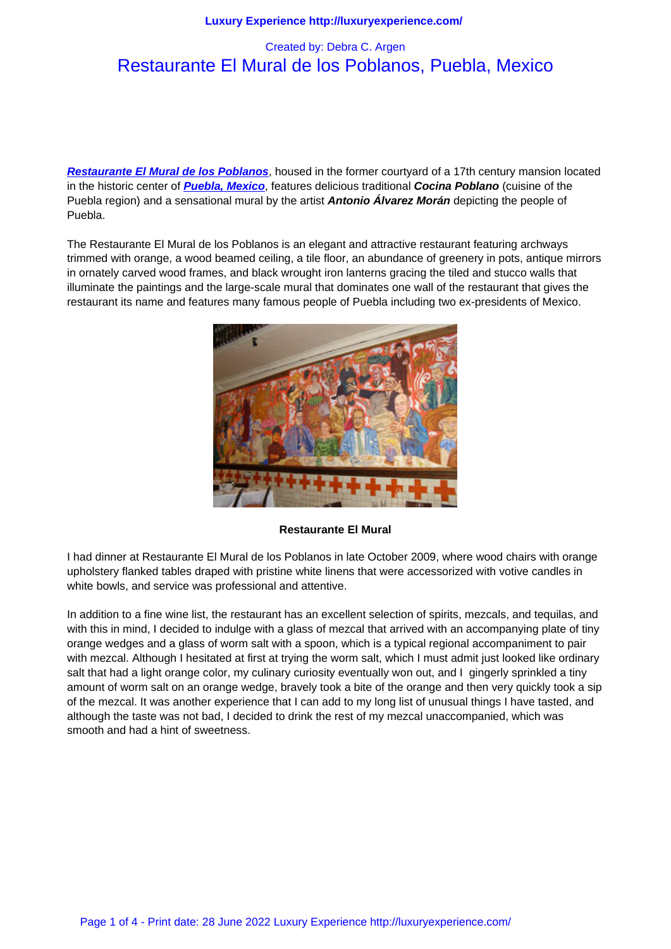# Restaurante El Mural de los Poblanos, Puebla, Mexico

**Restaurante El Mural de los Poblanos**, housed in the former courtyard of a 17th century mansion located in the historic center of **Puebla, Mexico**, features delicious traditional **Cocina Poblano** (cuisine of the Puebla region) and a sensational mural by the artist **Antonio Álvarez Morán** depicting the people of Puebla.

The Restaurante El Mu[ral de los Poblan](http://www.visitmexico.com/)os is an elegant and attractive restaurant featuring archways trimmed with orange, a wood beamed ceiling, a tile floor, an abundance of greenery in pots, antique mirrors in ornately carved wood frames, and black wrought iron lanterns gracing the tiled and stucco walls that illuminate the paintings and the large-scale mural that dominates one wall of the restaurant that gives the restaurant its name and features many famous people of Puebla including two ex-presidents of Mexico.



**Restaurante El Mural**

I had dinner at Restaurante El Mural de los Poblanos in late October 2009, where wood chairs with orange upholstery flanked tables draped with pristine white linens that were accessorized with votive candles in white bowls, and service was professional and attentive.

In addition to a fine wine list, the restaurant has an excellent selection of spirits, mezcals, and tequilas, and with this in mind, I decided to indulge with a glass of mezcal that arrived with an accompanying plate of tiny orange wedges and a glass of worm salt with a spoon, which is a typical regional accompaniment to pair with mezcal. Although I hesitated at first at trying the worm salt, which I must admit just looked like ordinary salt that had a light orange color, my culinary curiosity eventually won out, and I gingerly sprinkled a tiny amount of worm salt on an orange wedge, bravely took a bite of the orange and then very quickly took a sip of the mezcal. It was another experience that I can add to my long list of unusual things I have tasted, and although the taste was not bad, I decided to drink the rest of my mezcal unaccompanied, which was smooth and had a hint of sweetness.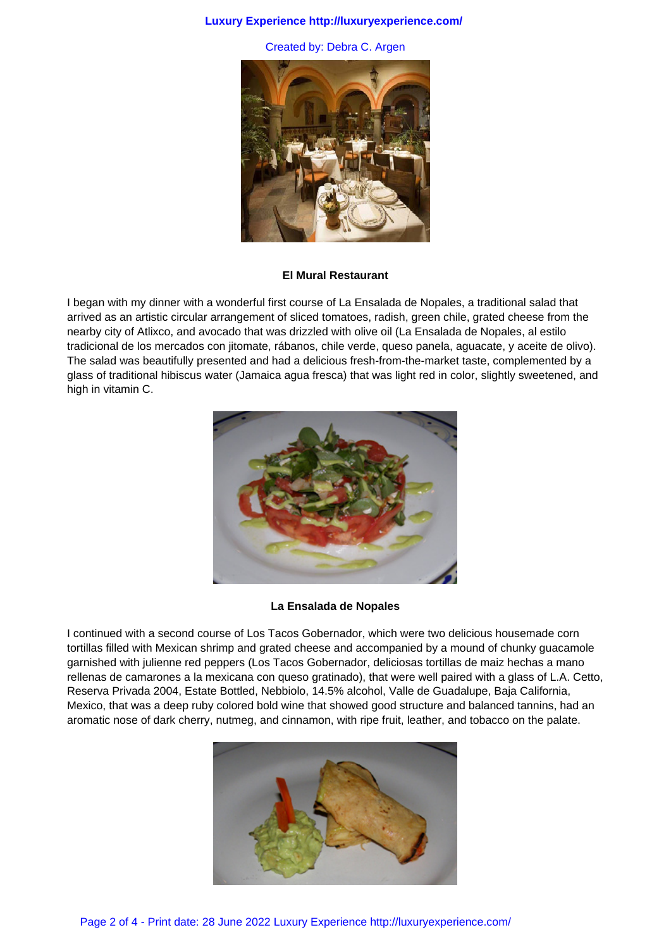## **Luxury Experience http://luxuryexperience.com/**

Created by: Debra C. Argen



#### **El Mural Restaurant**

I began with my dinner with a wonderful first course of La Ensalada de Nopales, a traditional salad that arrived as an artistic circular arrangement of sliced tomatoes, radish, green chile, grated cheese from the nearby city of Atlixco, and avocado that was drizzled with olive oil (La Ensalada de Nopales, al estilo tradicional de los mercados con jitomate, rábanos, chile verde, queso panela, aguacate, y aceite de olivo). The salad was beautifully presented and had a delicious fresh-from-the-market taste, complemented by a glass of traditional hibiscus water (Jamaica agua fresca) that was light red in color, slightly sweetened, and high in vitamin C.



## **La Ensalada de Nopales**

I continued with a second course of Los Tacos Gobernador, which were two delicious housemade corn tortillas filled with Mexican shrimp and grated cheese and accompanied by a mound of chunky guacamole garnished with julienne red peppers (Los Tacos Gobernador, deliciosas tortillas de maiz hechas a mano rellenas de camarones a la mexicana con queso gratinado), that were well paired with a glass of L.A. Cetto, Reserva Privada 2004, Estate Bottled, Nebbiolo, 14.5% alcohol, Valle de Guadalupe, Baja California, Mexico, that was a deep ruby colored bold wine that showed good structure and balanced tannins, had an aromatic nose of dark cherry, nutmeg, and cinnamon, with ripe fruit, leather, and tobacco on the palate.

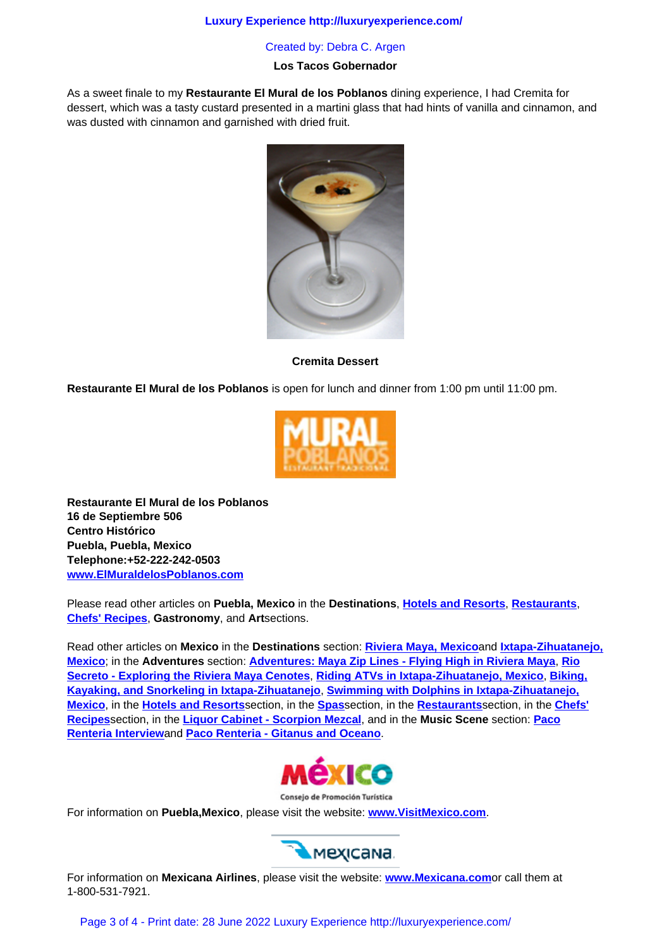# **Los Tacos Gobernador**

As a sweet finale to my **Restaurante El Mural de los Poblanos** dining experience, I had Cremita for dessert, which was a tasty custard presented in a martini glass that had hints of vanilla and cinnamon, and was dusted with cinnamon and garnished with dried fruit.



**Cremita Dessert**

**Restaurante El Mural de los Poblanos** is open for lunch and dinner from 1:00 pm until 11:00 pm.



**Restaurante El Mural de los Poblanos 16 de Septiembre 506 Centro Histórico Puebla, Puebla, Mexico Telephone:+52-222-242-0503 www.ElMuraldelosPoblanos.com**

Please read other articles on **Puebla, Mexico** in the **Destinations**, **Hotels and Resorts**, **Restaurants**, **Chefs' Recipes**, **Gastronomy**, and **Art**sections.

Read other articles on **Mexico** in the **Destinations** section: **Riviera Maya, Mexico**and **Ixtapa-Zihuatanejo, Mexico**; in the **Adventures** section: **Adventures: Maya Zip Lines [- Flying High in Rivi](luxury_lifestyles/mexico.html)[era Maya](luxury_lifestyles/mexico_restaurants.html)**, **Rio [Secreto - Explo](luxury_lifestyles/mexico_recipes.html)ring the Riviera Maya Cenotes**, **Riding ATVs in Ixtapa-Zihuatanejo, Mexico**, **Biking, Kayaking, and Snorkeling in Ixtapa-Zihuatanejo**, **Swimming with Dolphins in Ixtapa-Zihuatanejo, Mexico**, in the **Hotels and Resorts**section, in the **Spas**section, in the **[Restaurants](destinations/north_america/riviera_maya%2c_mexico.html)**sec[tion, in the](destinations/north_america/ixtapa-zihuatanejo%2c_mexico.html) **Chefs' [Recipes](destinations/north_america/ixtapa-zihuatanejo%2c_mexico.html)**section, in the **Liquor Cabi[net - Scorpion Mezcal](adventures/adventures_category/maya_zip-lines_-_flying_high_in_riviera_maya.html)**, and in the **Music Scene** section: **Paco Renteria Interview**and **[Paco Renteria - Gitanus](adventures/adventures_category/rio_secreto_-_exploring_the_riviera_maya_cenotes.html) [and Oceano](adventures/adventures_category/riding_atvs_in_ixtapa-zihuatanejo.html)**.



Consejo de Promoción Turística

For information on **Puebla,Mexico**, please visit the website: **www.VisitMexico.com**.



For information on **Mexicana Airlines**, please visit the website: **[www.Mexicana.com](http://www.visitmexico.com/)**or call them at 1-800-531-7921.

Page 3 of 4 - Print date: 28 June 2022 Luxury Experience http://luxuryexperience.com/